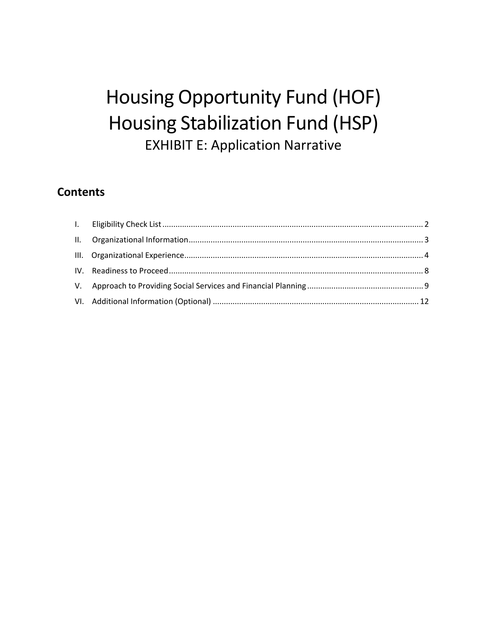# Housing Opportunity Fund (HOF) Housing Stabilization Fund (HSP) EXHIBIT E: Application Narrative

## **Contents**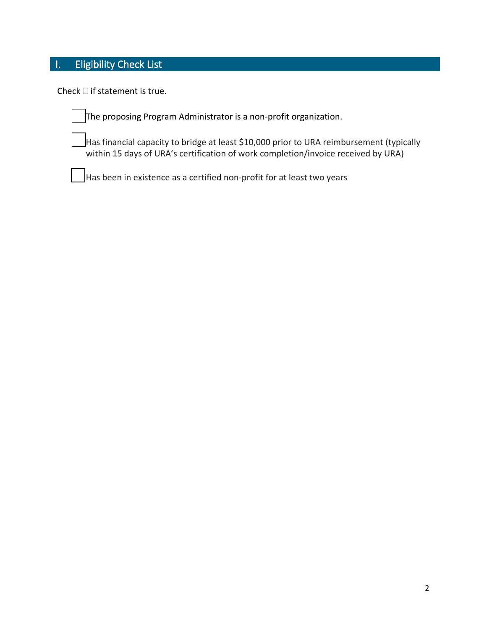# <span id="page-1-0"></span>I. Eligibility Check List

Check  $\Box$  if statement is true.

The proposing Program Administrator is a non-profit organization.

 Has financial capacity to bridge at least \$10,000 prior to URA reimbursement (typically within 15 days of URA's certification of work completion/invoice received by URA)

Has been in existence as a certified non-profit for at least two years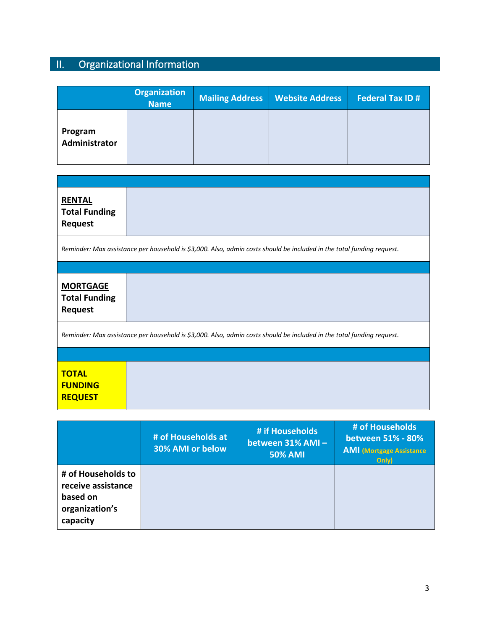# <span id="page-2-0"></span>II. Organizational Information

|                          | <b>Organization</b><br><b>Name</b> | <b>Mailing Address</b> | <b>Website Address</b> | <b>Federal Tax ID#</b> |
|--------------------------|------------------------------------|------------------------|------------------------|------------------------|
| Program<br>Administrator |                                    |                        |                        |                        |

| <b>RENTAL</b><br><b>Total Funding</b><br><b>Request</b>                                                               |  |  |  |  |
|-----------------------------------------------------------------------------------------------------------------------|--|--|--|--|
| Reminder: Max assistance per household is \$3,000. Also, admin costs should be included in the total funding request. |  |  |  |  |
|                                                                                                                       |  |  |  |  |
| <b>MORTGAGE</b><br><b>Total Funding</b><br><b>Request</b>                                                             |  |  |  |  |
| Reminder: Max assistance per household is \$3,000. Also, admin costs should be included in the total funding request. |  |  |  |  |
|                                                                                                                       |  |  |  |  |
| <b>TOTAL</b><br><b>FUNDING</b><br><b>REQUEST</b>                                                                      |  |  |  |  |

|                                                                                    | # of Households at<br>30% AMI or below | # if Households<br>between 31% AMI-<br><b>50% AMI</b> | # of Households<br>between 51% - 80%<br><b>AMI</b> (Mortgage Assistance<br>Only) |
|------------------------------------------------------------------------------------|----------------------------------------|-------------------------------------------------------|----------------------------------------------------------------------------------|
| # of Households to<br>receive assistance<br>based on<br>organization's<br>capacity |                                        |                                                       |                                                                                  |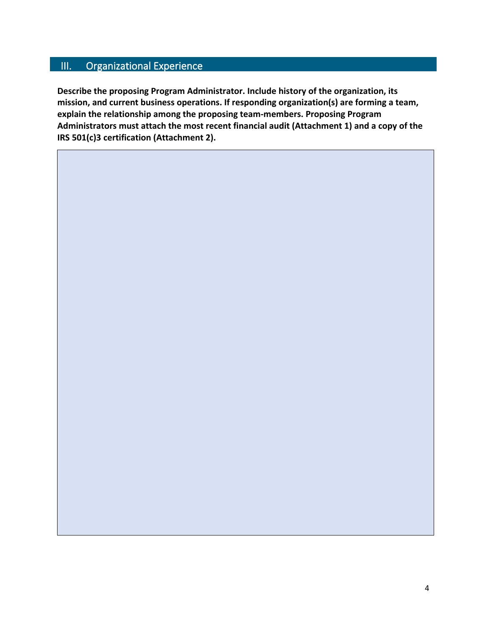#### <span id="page-3-0"></span>III. Organizational Experience

**Describe the proposing Program Administrator. Include history of the organization, its mission, and current business operations. If responding organization(s) are forming a team, explain the relationship among the proposing team-members. Proposing Program Administrators must attach the most recent financial audit (Attachment 1) and a copy of the IRS 501(c)3 certification (Attachment 2).**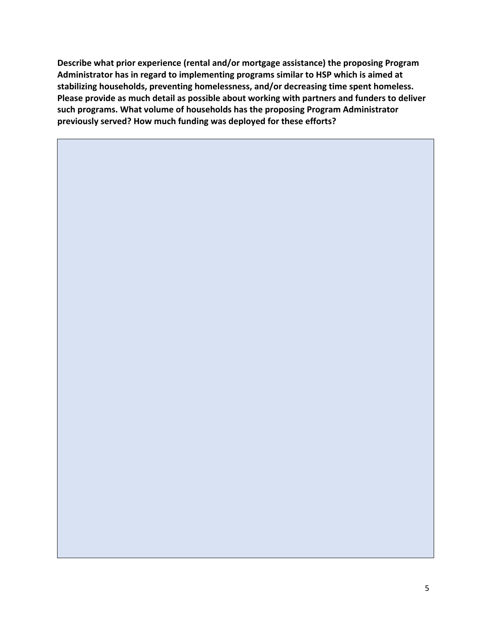**Describe what prior experience (rental and/or mortgage assistance) the proposing Program Administrator has in regard to implementing programs similar to HSP which is aimed at stabilizing households, preventing homelessness, and/or decreasing time spent homeless. Please provide as much detail as possible about working with partners and funders to deliver such programs. What volume of households has the proposing Program Administrator previously served? How much funding was deployed for these efforts?**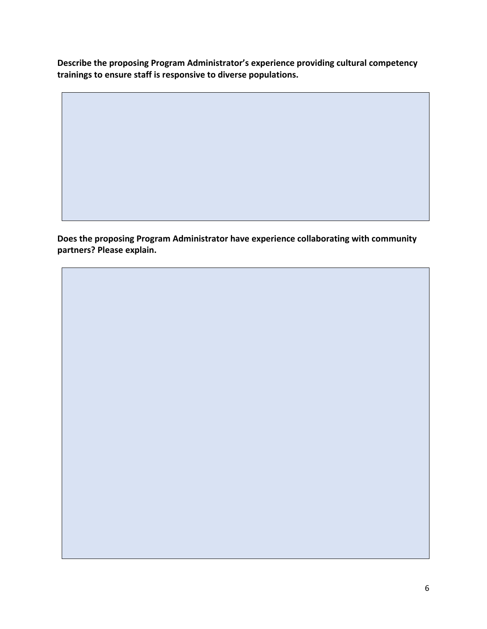**Describe the proposing Program Administrator's experience providing cultural competency trainings to ensure staff is responsive to diverse populations.**

**Does the proposing Program Administrator have experience collaborating with community partners? Please explain.**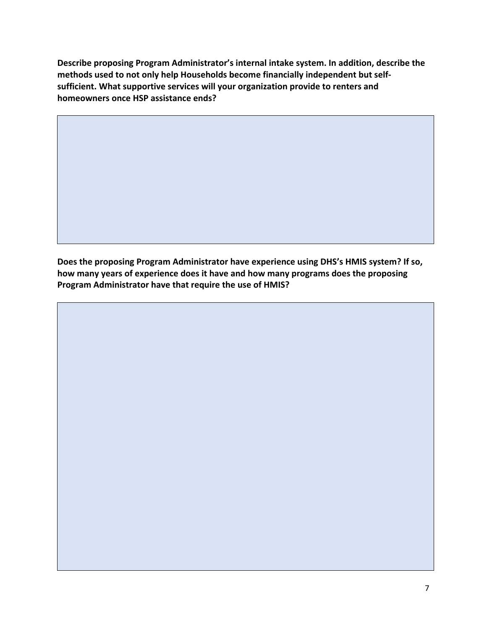**Describe proposing Program Administrator's internal intake system. In addition, describe the methods used to not only help Households become financially independent but selfsufficient. What supportive services will your organization provide to renters and homeowners once HSP assistance ends?**

**Does the proposing Program Administrator have experience using DHS's HMIS system? If so, how many years of experience does it have and how many programs does the proposing Program Administrator have that require the use of HMIS?**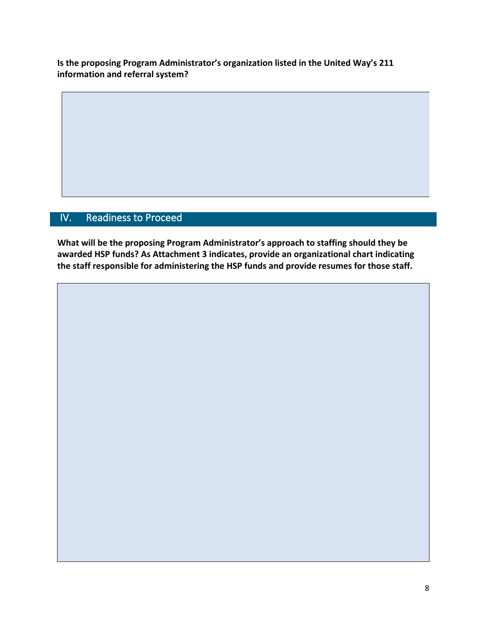**Is the proposing Program Administrator's organization listed in the United Way's 211 information and referral system?**

## <span id="page-7-0"></span>IV. Readiness to Proceed

**What will be the proposing Program Administrator's approach to staffing should they be awarded HSP funds? As Attachment 3 indicates, provide an organizational chart indicating the staff responsible for administering the HSP funds and provide resumes for those staff.**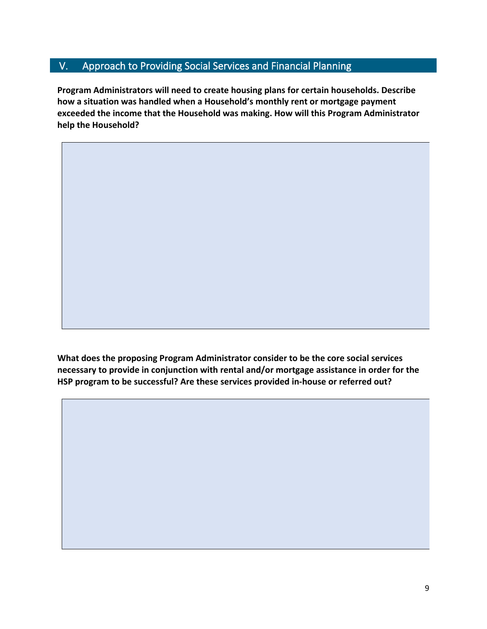#### <span id="page-8-0"></span>V. Approach to Providing Social Services and Financial Planning

**Program Administrators will need to create housing plans for certain households. Describe how a situation was handled when a Household's monthly rent or mortgage payment exceeded the income that the Household was making. How will this Program Administrator help the Household?**

**What does the proposing Program Administrator consider to be the core social services necessary to provide in conjunction with rental and/or mortgage assistance in order for the HSP program to be successful? Are these services provided in-house or referred out?**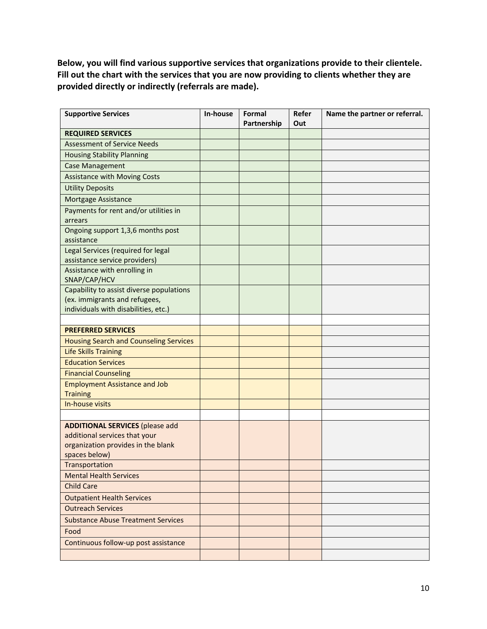**Below, you will find various supportive services that organizations provide to their clientele. Fill out the chart with the services that you are now providing to clients whether they are provided directly or indirectly (referrals are made).** 

| <b>Supportive Services</b>                      | In-house | Formal<br>Partnership | Refer<br>Out | Name the partner or referral. |
|-------------------------------------------------|----------|-----------------------|--------------|-------------------------------|
| <b>REQUIRED SERVICES</b>                        |          |                       |              |                               |
| <b>Assessment of Service Needs</b>              |          |                       |              |                               |
| <b>Housing Stability Planning</b>               |          |                       |              |                               |
| <b>Case Management</b>                          |          |                       |              |                               |
| <b>Assistance with Moving Costs</b>             |          |                       |              |                               |
| <b>Utility Deposits</b>                         |          |                       |              |                               |
| <b>Mortgage Assistance</b>                      |          |                       |              |                               |
| Payments for rent and/or utilities in           |          |                       |              |                               |
| arrears                                         |          |                       |              |                               |
| Ongoing support 1,3,6 months post<br>assistance |          |                       |              |                               |
| Legal Services (required for legal              |          |                       |              |                               |
| assistance service providers)                   |          |                       |              |                               |
| Assistance with enrolling in<br>SNAP/CAP/HCV    |          |                       |              |                               |
| Capability to assist diverse populations        |          |                       |              |                               |
| (ex. immigrants and refugees,                   |          |                       |              |                               |
| individuals with disabilities, etc.)            |          |                       |              |                               |
| <b>PREFERRED SERVICES</b>                       |          |                       |              |                               |
| <b>Housing Search and Counseling Services</b>   |          |                       |              |                               |
| <b>Life Skills Training</b>                     |          |                       |              |                               |
| <b>Education Services</b>                       |          |                       |              |                               |
| <b>Financial Counseling</b>                     |          |                       |              |                               |
| <b>Employment Assistance and Job</b>            |          |                       |              |                               |
| <b>Training</b>                                 |          |                       |              |                               |
| In-house visits                                 |          |                       |              |                               |
|                                                 |          |                       |              |                               |
| <b>ADDITIONAL SERVICES (please add</b>          |          |                       |              |                               |
| additional services that your                   |          |                       |              |                               |
| organization provides in the blank              |          |                       |              |                               |
| spaces below)                                   |          |                       |              |                               |
| Transportation                                  |          |                       |              |                               |
| <b>Mental Health Services</b>                   |          |                       |              |                               |
| <b>Child Care</b>                               |          |                       |              |                               |
| <b>Outpatient Health Services</b>               |          |                       |              |                               |
| <b>Outreach Services</b>                        |          |                       |              |                               |
| <b>Substance Abuse Treatment Services</b>       |          |                       |              |                               |
| Food                                            |          |                       |              |                               |
| Continuous follow-up post assistance            |          |                       |              |                               |
|                                                 |          |                       |              |                               |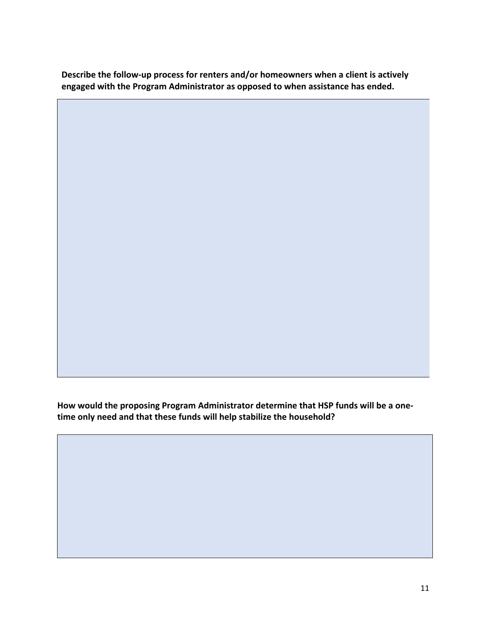**Describe the follow-up process for renters and/or homeowners when a client is actively engaged with the Program Administrator as opposed to when assistance has ended.**

**How would the proposing Program Administrator determine that HSP funds will be a onetime only need and that these funds will help stabilize the household?**